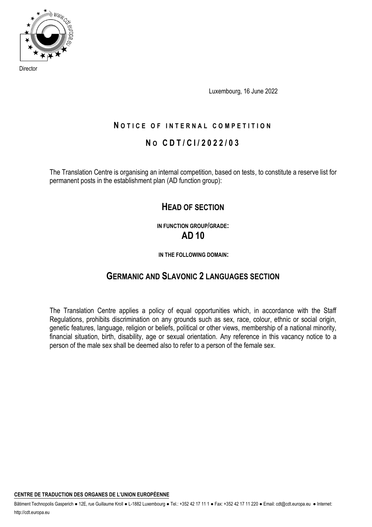

Director

Luxembourg, 16 June 2022

# **NOTICE OF INTERNAL COMPETITION**

# **N O C D T / C I / 2022 / 0 3**

The Translation Centre is organising an internal competition, based on tests, to constitute a reserve list for permanent posts in the establishment plan (AD function group):

# **HEAD OF SECTION**

**IN FUNCTION GROUP/GRADE: AD 10**

**IN THE FOLLOWING DOMAIN:**

# **GERMANIC AND SLAVONIC 2 LANGUAGES SECTION**

The Translation Centre applies a policy of equal opportunities which, in accordance with the Staff Regulations, prohibits discrimination on any grounds such as sex, race, colour, ethnic or social origin, genetic features, language, religion or beliefs, political or other views, membership of a national minority, financial situation, birth, disability, age or sexual orientation. Any reference in this vacancy notice to a person of the male sex shall be deemed also to refer to a person of the female sex.

**CENTRE DE TRADUCTION DES ORGANES DE L'UNION EUROPÉENNE** 

Bâtiment Technopolis Gasperich ● 12E, rue Guillaume Kroll ● L-1882 Luxembourg ● Tel.: +352 42 17 11 • Fax: +352 42 17 11 220 ● Email: cdt@cdt.europa.eu ● Internet: http://cdt.europa.eu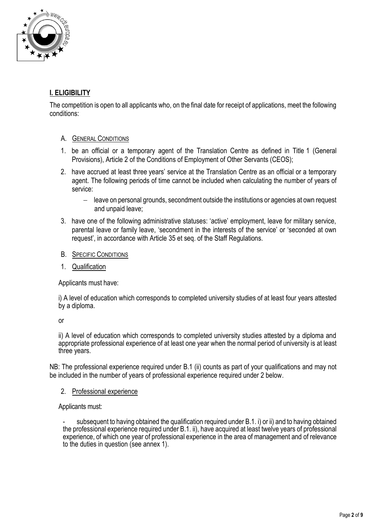

# **I. ELIGIBILITY**

The competition is open to all applicants who, on the final date for receipt of applications, meet the following conditions:

# A. GENERAL CONDITIONS

- 1. be an official or a temporary agent of the Translation Centre as defined in Title 1 (General Provisions), Article 2 of the Conditions of Employment of Other Servants (CEOS);
- 2. have accrued at least three years' service at the Translation Centre as an official or a temporary agent. The following periods of time cannot be included when calculating the number of years of service:
	- − leave on personal grounds, secondment outside the institutions or agencies at own request and unpaid leave;
- 3. have one of the following administrative statuses: 'active' employment, leave for military service, parental leave or family leave, 'secondment in the interests of the service' or 'seconded at own request', in accordance with Article 35 et seq. of the Staff Regulations.
- B. SPECIFIC CONDITIONS
- 1. Qualification

Applicants must have:

i) A level of education which corresponds to completed university studies of at least four years attested by a diploma.

or

ii) A level of education which corresponds to completed university studies attested by a diploma and appropriate professional experience of at least one year when the normal period of university is at least three years.

NB: The professional experience required under B.1 (ii) counts as part of your qualifications and may not be included in the number of years of professional experience required under 2 below.

### 2. Professional experience

Applicants must:

subsequent to having obtained the qualification required under B.1. i) or ii) and to having obtained the professional experience required under B.1. ii), have acquired at least twelve years of professional experience, of which one year of professional experience in the area of management and of relevance to the duties in question (see annex 1).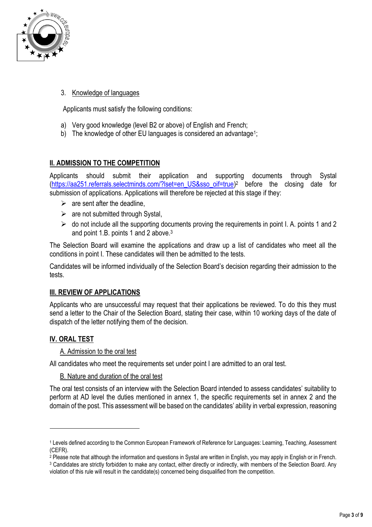

# 3. Knowledge of languages

Applicants must satisfy the following conditions:

- a) Very good knowledge (level B2 or above) of English and French;
- b) The knowledge of other EU languages is considered an advantage<sup>1</sup>;

# **II. ADMISSION TO THE COMPETITION**

Applicants should submit their application and supporting documents through Systal [\(https://aa251.referrals.selectminds.com/?lset=en\\_US&sso\\_oif=true\)](https://aa251.referrals.selectminds.com/?lset=en_US&sso_oif=true)<sup>2</sup> before the closing date for submission of applications. Applications will therefore be rejected at this stage if they:

- $\triangleright$  are sent after the deadline,
- $\triangleright$  are not submitted through Systal,
- $\triangleright$  do not include all the supporting documents proving the requirements in point I. A. points 1 and 2 and point 1.B. points 1 and 2 above.<sup>3</sup>

The Selection Board will examine the applications and draw up a list of candidates who meet all the conditions in point I. These candidates will then be admitted to the tests.

Candidates will be informed individually of the Selection Board's decision regarding their admission to the tests.

### **III. REVIEW OF APPLICATIONS**

Applicants who are unsuccessful may request that their applications be reviewed. To do this they must send a letter to the Chair of the Selection Board, stating their case, within 10 working days of the date of dispatch of the letter notifying them of the decision.

# **IV. ORAL TEST**

1

### A. Admission to the oral test

All candidates who meet the requirements set under point I are admitted to an oral test.

### B. Nature and duration of the oral test

The oral test consists of an interview with the Selection Board intended to assess candidates' suitability to perform at AD level the duties mentioned in annex 1, the specific requirements set in annex 2 and the domain of the post. This assessment will be based on the candidates' ability in verbal expression, reasoning

<sup>1</sup> Levels defined according to the Common European Framework of Reference for Languages: Learning, Teaching, Assessment (CEFR).

 $^2$  Please note that although the information and questions in Systal are written in English, you may apply in English or in French.

<sup>3</sup> Candidates are strictly forbidden to make any contact, either directly or indirectly, with members of the Selection Board. Any violation of this rule will result in the candidate(s) concerned being disqualified from the competition.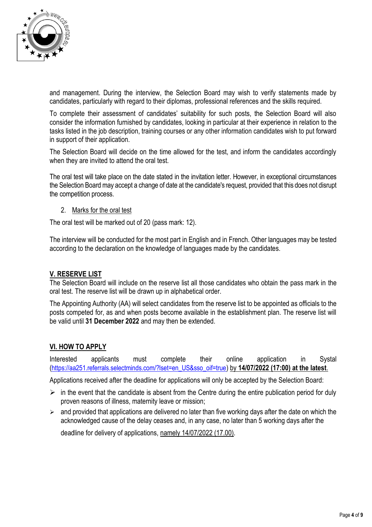

and management. During the interview, the Selection Board may wish to verify statements made by candidates, particularly with regard to their diplomas, professional references and the skills required.

To complete their assessment of candidates' suitability for such posts, the Selection Board will also consider the information furnished by candidates, looking in particular at their experience in relation to the tasks listed in the job description, training courses or any other information candidates wish to put forward in support of their application.

The Selection Board will decide on the time allowed for the test, and inform the candidates accordingly when they are invited to attend the oral test.

The oral test will take place on the date stated in the invitation letter. However, in exceptional circumstances the Selection Board may accept a change of date at the candidate's request, provided that this does not disrupt the competition process.

#### 2. Marks for the oral test

The oral test will be marked out of 20 (pass mark: 12).

The interview will be conducted for the most part in English and in French. Other languages may be tested according to the declaration on the knowledge of languages made by the candidates.

### **V. RESERVE LIST**

The Selection Board will include on the reserve list all those candidates who obtain the pass mark in the oral test. The reserve list will be drawn up in alphabetical order.

The Appointing Authority (AA) will select candidates from the reserve list to be appointed as officials to the posts competed for, as and when posts become available in the establishment plan. The reserve list will be valid until **31 December 2022** and may then be extended.

#### **VI. HOW TO APPLY**

Interested applicants must complete their online application in Systal ([https://aa251.referrals.selectminds.com/?lset=en\\_US&sso\\_oif=true](https://aa251.referrals.selectminds.com/?lset=en_US&sso_oif=true)) by **14/07/2022 (17:00) at the latest**.

Applications received after the deadline for applications will only be accepted by the Selection Board:

- $\triangleright$  in the event that the candidate is absent from the Centre during the entire publication period for duly proven reasons of illness, maternity leave or mission;
- $\geq$  and provided that applications are delivered no later than five working days after the date on which the acknowledged cause of the delay ceases and, in any case, no later than 5 working days after the

deadline for delivery of applications, namely 14/07/2022 (17.00).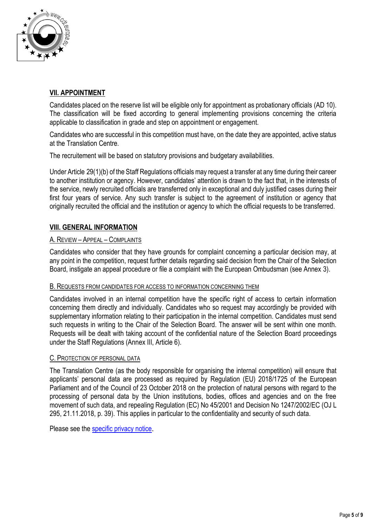

# **VII. APPOINTMENT**

Candidates placed on the reserve list will be eligible only for appointment as probationary officials (AD 10). The classification will be fixed according to general implementing provisions concerning the criteria applicable to classification in grade and step on appointment or engagement.

Candidates who are successful in this competition must have, on the date they are appointed, active status at the Translation Centre.

The recruitement will be based on statutory provisions and budgetary availabilities.

Under Article 29(1)(b) of the Staff Regulations officials may request a transfer at any time during their career to another institution or agency. However, candidates' attention is drawn to the fact that, in the interests of the service, newly recruited officials are transferred only in exceptional and duly justified cases during their first four years of service. Any such transfer is subject to the agreement of institution or agency that originally recruited the official and the institution or agency to which the official requests to be transferred.

# **VIII. GENERAL INFORMATION**

### A. REVIEW – APPEAL – COMPLAINTS

Candidates who consider that they have grounds for complaint concerning a particular decision may, at any point in the competition, request further details regarding said decision from the Chair of the Selection Board, instigate an appeal procedure or file a complaint with the European Ombudsman (see Annex 3).

#### B. REQUESTS FROM CANDIDATES FOR ACCESS TO INFORMATION CONCERNING THEM

Candidates involved in an internal competition have the specific right of access to certain information concerning them directly and individually. Candidates who so request may accordingly be provided with supplementary information relating to their participation in the internal competition. Candidates must send such requests in writing to the Chair of the Selection Board. The answer will be sent within one month. Requests will be dealt with taking account of the confidential nature of the Selection Board proceedings under the Staff Regulations (Annex III, Article 6).

#### C. PROTECTION OF PERSONAL DATA

The Translation Centre (as the body responsible for organising the internal competition) will ensure that applicants' personal data are processed as required by Regulation (EU) 2018/1725 of the European Parliament and of the Council of 23 October 2018 on the protection of natural persons with regard to the processing of personal data by the Union institutions, bodies, offices and agencies and on the free movement of such data, and repealing Regulation (EC) No 45/2001 and Decision No 1247/2002/EC (OJ L 295, 21.11.2018, p. 39). This applies in particular to the confidentiality and security of such data.

Please see the [specific privacy notice](http://cdt.europa.eu/en/specific-privacy-notice-selections-and-recruitments).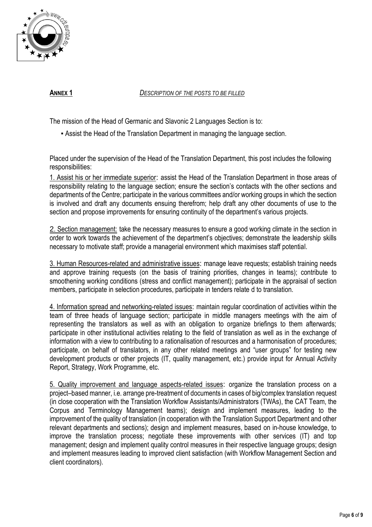

**ANNEX 1** *DESCRIPTION OF THE POSTS TO BE FILLED*

The mission of the Head of Germanic and Slavonic 2 Languages Section is to:

▪ Assist the Head of the Translation Department in managing the language section.

Placed under the supervision of the Head of the Translation Department, this post includes the following responsibilities:

1. Assist his or her immediate superior: assist the Head of the Translation Department in those areas of responsibility relating to the language section; ensure the section's contacts with the other sections and departments of the Centre; participate in the various committees and/or working groups in which the section is involved and draft any documents ensuing therefrom; help draft any other documents of use to the section and propose improvements for ensuring continuity of the department's various projects.

2. Section management: take the necessary measures to ensure a good working climate in the section in order to work towards the achievement of the department's objectives; demonstrate the leadership skills necessary to motivate staff; provide a managerial environment which maximises staff potential.

3. Human Resources-related and administrative issues: manage leave requests; establish training needs and approve training requests (on the basis of training priorities, changes in teams); contribute to smoothening working conditions (stress and conflict management); participate in the appraisal of section members, participate in selection procedures, participate in tenders relate d to translation.

4. Information spread and networking-related issues: maintain regular coordination of activities within the team of three heads of language section; participate in middle managers meetings with the aim of representing the translators as well as with an obligation to organize briefings to them afterwards; participate in other institutional activities relating to the field of translation as well as in the exchange of information with a view to contributing to a rationalisation of resources and a harmonisation of procedures; participate, on behalf of translators, in any other related meetings and "user groups" for testing new development products or other projects (IT, quality management, etc.) provide input for Annual Activity Report, Strategy, Work Programme, etc.

5. Quality improvement and language aspects-related issues: organize the translation process on a project–based manner, i.e. arrange pre-treatment of documents in cases of big/complex translation request (in close cooperation with the Translation Workflow Assistants/Administrators (TWAs), the CAT Team, the Corpus and Terminology Management teams); design and implement measures, leading to the improvement of the quality of translation (in cooperation with the Translation Support Department and other relevant departments and sections); design and implement measures, based on in-house knowledge, to improve the translation process; negotiate these improvements with other services (IT) and top management; design and implement quality control measures in their respective language groups; design and implement measures leading to improved client satisfaction (with Workflow Management Section and client coordinators).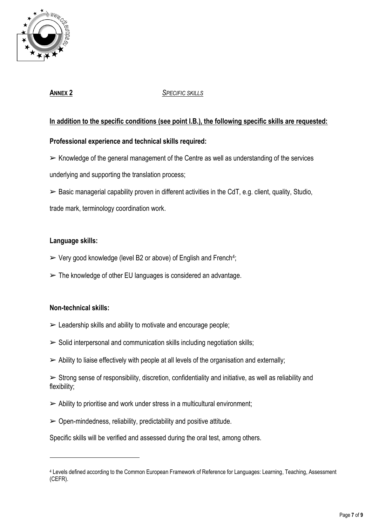

# **ANNEX 2** *SPECIFIC SKILLS*

# **In addition to the specific conditions (see point I.B.), the following specific skills are requested:**

# **Professional experience and technical skills required:**

 $\triangleright$  Knowledge of the general management of the Centre as well as understanding of the services underlying and supporting the translation process;

 $\triangleright$  Basic managerial capability proven in different activities in the CdT, e.g. client, quality, Studio, trade mark, terminology coordination work.

# **Language skills:**

- $\triangleright$  Very good knowledge (level B2 or above) of English and French<sup>4</sup>;
- $\triangleright$  The knowledge of other EU languages is considered an advantage.

### **Non-technical skills:**

1

- $\triangleright$  Leadership skills and ability to motivate and encourage people;
- $\triangleright$  Solid interpersonal and communication skills including negotiation skills;
- $\triangleright$  Ability to liaise effectively with people at all levels of the organisation and externally;

 $\triangleright$  Strong sense of responsibility, discretion, confidentiality and initiative, as well as reliability and flexibility;

- $\triangleright$  Ability to prioritise and work under stress in a multicultural environment;
- $\geq$  Open-mindedness, reliability, predictability and positive attitude.

Specific skills will be verified and assessed during the oral test, among others.

<sup>4</sup> Levels defined according to the Common European Framework of Reference for Languages: Learning, Teaching, Assessment (CEFR).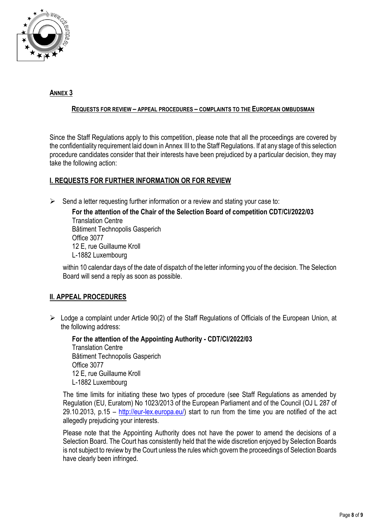

# **ANNEX 3**

#### **REQUESTS FOR REVIEW – APPEAL PROCEDURES – COMPLAINTS TO THE EUROPEAN OMBUDSMAN**

Since the Staff Regulations apply to this competition, please note that all the proceedings are covered by the confidentiality requirement laid down in Annex III to the Staff Regulations. If at any stage of this selection procedure candidates consider that their interests have been prejudiced by a particular decision, they may take the following action:

# **I. REQUESTS FOR FURTHER INFORMATION OR FOR REVIEW**

 $\triangleright$  Send a letter requesting further information or a review and stating your case to:

**For the attention of the Chair of the Selection Board of competition CDT/CI/2022/03** Translation Centre Bâtiment Technopolis Gasperich Office 3077 12 E, rue Guillaume Kroll L-1882 Luxembourg

within 10 calendar days of the date of dispatch of the letter informing you of the decision. The Selection Board will send a reply as soon as possible.

# **II. APPEAL PROCEDURES**

➢ Lodge a complaint under Article 90(2) of the Staff Regulations of Officials of the European Union, at the following address:

**For the attention of the Appointing Authority - CDT/CI/2022/03** Translation Centre Bâtiment Technopolis Gasperich Office 3077 12 E, rue Guillaume Kroll L-1882 Luxembourg

The time limits for initiating these two types of procedure (see Staff Regulations as amended by Regulation (EU, Euratom) No 1023/2013 of the European Parliament and of the Council (OJ L 287 of 29.10.2013, p.15 – [http://eur-lex.europa.eu/\)](http://eur-lex.europa.eu/) start to run from the time you are notified of the act allegedly prejudicing your interests.

Please note that the Appointing Authority does not have the power to amend the decisions of a Selection Board. The Court has consistently held that the wide discretion enjoyed by Selection Boards is not subject to review by the Court unless the rules which govern the proceedings of Selection Boards have clearly been infringed.